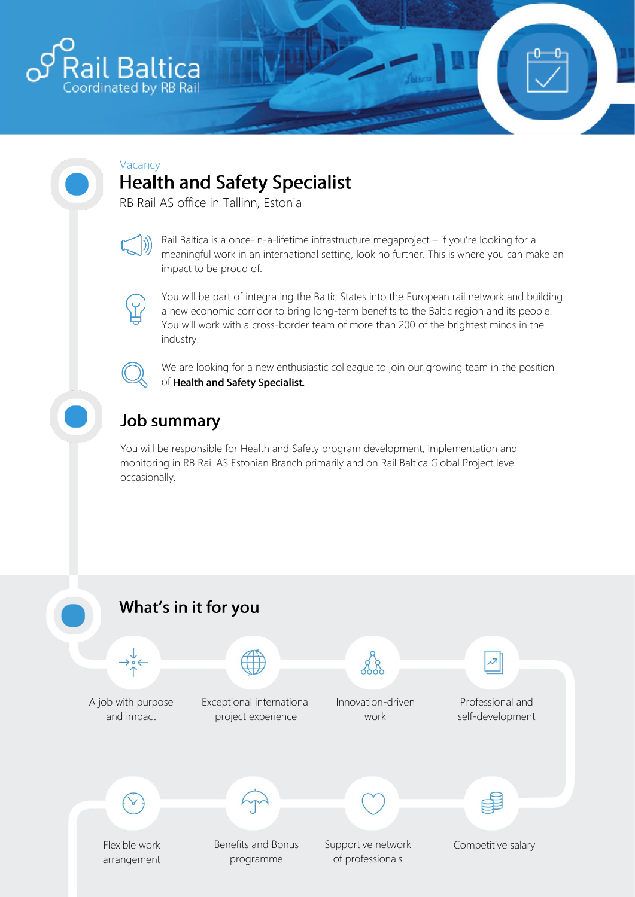

#### Vacancy **Health and Safety Specialist**

RB Rail AS office in Tallinn, Estonia



Rail Baltica is a once-in-a-lifetime infrastructure megaproject – if you're looking for a meaningful work in an international setting, look no further. This is where you can make an impact to be proud of.



You will be part of integrating the Baltic States into the European rail network and building a new economic corridor to bring long-term benefits to the Baltic region and its people. You will work with a cross-border team of more than 200 of the brightest minds in the industry.

We are looking for a new enthusiastic colleague to join our growing team in the position of Health and Safety Specialist.

# **Job summary**

You will be responsible for Health and Safety program development, implementation and monitoring in RB Rail AS Estonian Branch primarily and on Rail Baltica Global Project level occasionally.